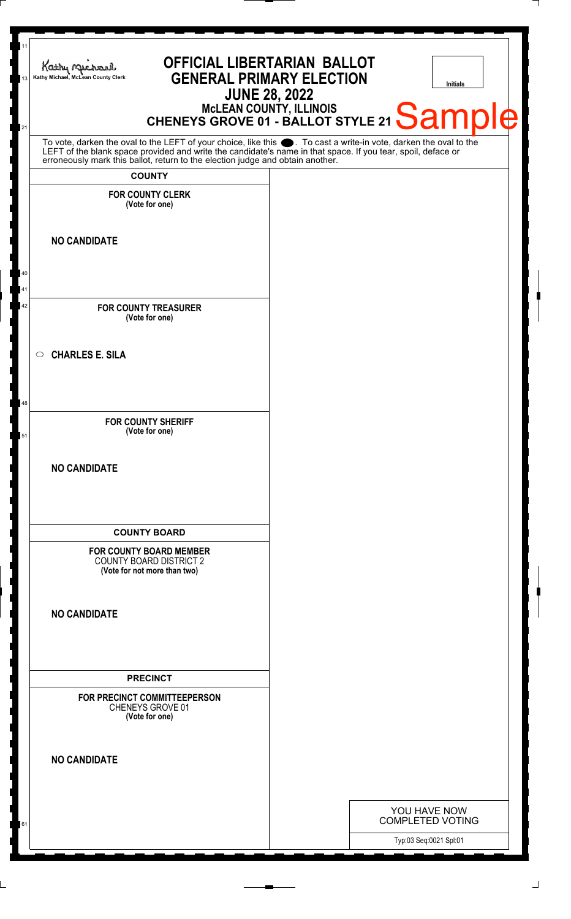| 11<br>Kathy Michael<br>Kathy Michael, McLean County Clerk<br>13                                                                                                                                                               | <b>OFFICIAL LIBERTARIAN BALLOT</b><br><b>GENERAL PRIMARY ELECTION</b> | <b>JUNE 28, 2022</b> | <b>Initials</b>                         |    |
|-------------------------------------------------------------------------------------------------------------------------------------------------------------------------------------------------------------------------------|-----------------------------------------------------------------------|----------------------|-----------------------------------------|----|
| 21                                                                                                                                                                                                                            | MCLEAN COUNTY, ILLINOIS<br>CHENEYS GROVE 01 - BALLOT STYLE 21 Sample  |                      |                                         | Ie |
| To vote, darken the oval to the LEFT of your choice, like this . To cast a write-in vote, darken the oval to the LEFT of the blank space provided and write the candidate's name in that space. If you tear, spoil, deface or |                                                                       |                      |                                         |    |
| <b>COUNTY</b><br><b>FOR COUNTY CLERK</b>                                                                                                                                                                                      |                                                                       |                      |                                         |    |
| (Vote for one)                                                                                                                                                                                                                |                                                                       |                      |                                         |    |
| <b>NO CANDIDATE</b>                                                                                                                                                                                                           |                                                                       |                      |                                         |    |
|                                                                                                                                                                                                                               |                                                                       |                      |                                         |    |
| <b>FOR COUNTY TREASURER</b>                                                                                                                                                                                                   |                                                                       |                      |                                         |    |
| (Vote for one)                                                                                                                                                                                                                |                                                                       |                      |                                         |    |
| <b>CHARLES E. SILA</b><br>$\circ$                                                                                                                                                                                             |                                                                       |                      |                                         |    |
|                                                                                                                                                                                                                               |                                                                       |                      |                                         |    |
| <b>FOR COUNTY SHERIFF</b><br>(Vote for one)                                                                                                                                                                                   |                                                                       |                      |                                         |    |
|                                                                                                                                                                                                                               |                                                                       |                      |                                         |    |
| <b>NO CANDIDATE</b>                                                                                                                                                                                                           |                                                                       |                      |                                         |    |
|                                                                                                                                                                                                                               |                                                                       |                      |                                         |    |
| <b>COUNTY BOARD</b>                                                                                                                                                                                                           |                                                                       |                      |                                         |    |
| <b>FOR COUNTY BOARD MEMBER</b><br><b>COUNTY BOARD DISTRICT 2</b><br>(Vote for not more than two)                                                                                                                              |                                                                       |                      |                                         |    |
| <b>NO CANDIDATE</b>                                                                                                                                                                                                           |                                                                       |                      |                                         |    |
|                                                                                                                                                                                                                               |                                                                       |                      |                                         |    |
|                                                                                                                                                                                                                               |                                                                       |                      |                                         |    |
| <b>PRECINCT</b>                                                                                                                                                                                                               |                                                                       |                      |                                         |    |
| FOR PRECINCT COMMITTEEPERSON<br>CHENEYS GROVE 01<br>(Vote for one)                                                                                                                                                            |                                                                       |                      |                                         |    |
| <b>NO CANDIDATE</b>                                                                                                                                                                                                           |                                                                       |                      |                                         |    |
|                                                                                                                                                                                                                               |                                                                       |                      |                                         |    |
|                                                                                                                                                                                                                               |                                                                       |                      | YOU HAVE NOW<br><b>COMPLETED VOTING</b> |    |
|                                                                                                                                                                                                                               |                                                                       |                      | Typ:03 Seq:0021 Spl:01                  |    |